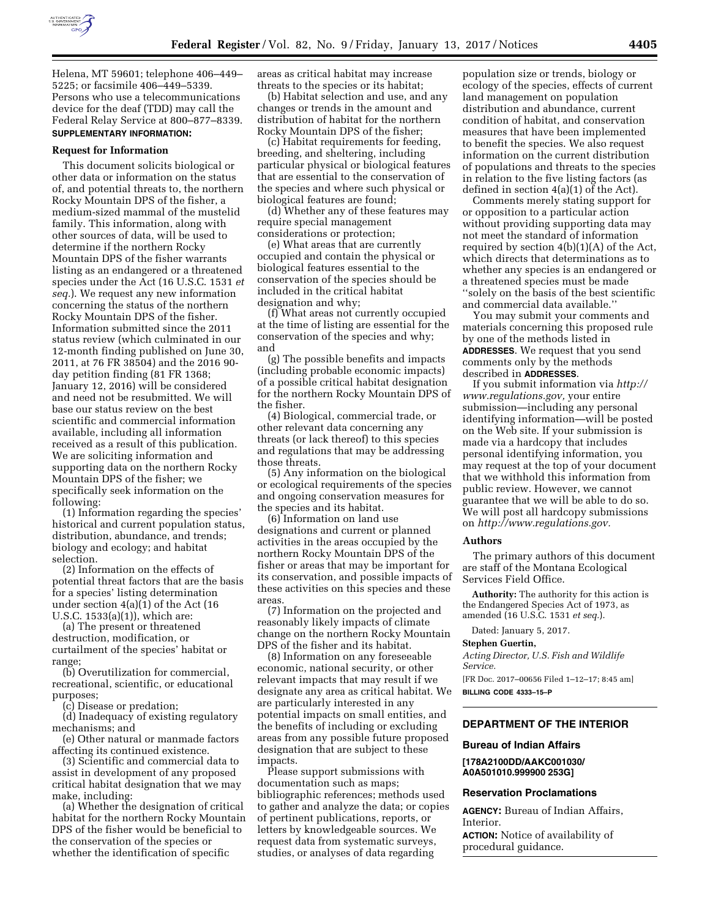

Helena, MT 59601; telephone 406–449– 5225; or facsimile 406–449–5339. Persons who use a telecommunications device for the deaf (TDD) may call the Federal Relay Service at 800–877–8339. **SUPPLEMENTARY INFORMATION:** 

#### **Request for Information**

This document solicits biological or other data or information on the status of, and potential threats to, the northern Rocky Mountain DPS of the fisher, a medium-sized mammal of the mustelid family. This information, along with other sources of data, will be used to determine if the northern Rocky Mountain DPS of the fisher warrants listing as an endangered or a threatened species under the Act (16 U.S.C. 1531 *et seq.*). We request any new information concerning the status of the northern Rocky Mountain DPS of the fisher. Information submitted since the 2011 status review (which culminated in our 12-month finding published on June 30, 2011, at 76 FR 38504) and the 2016 90 day petition finding (81 FR 1368; January 12, 2016) will be considered and need not be resubmitted. We will base our status review on the best scientific and commercial information available, including all information received as a result of this publication. We are soliciting information and supporting data on the northern Rocky Mountain DPS of the fisher; we specifically seek information on the following:

(1) Information regarding the species' historical and current population status, distribution, abundance, and trends; biology and ecology; and habitat selection.

(2) Information on the effects of potential threat factors that are the basis for a species' listing determination under section 4(a)(1) of the Act (16 U.S.C. 1533(a)(1)), which are:

(a) The present or threatened destruction, modification, or curtailment of the species' habitat or range;

(b) Overutilization for commercial, recreational, scientific, or educational purposes;

(c) Disease or predation;

(d) Inadequacy of existing regulatory mechanisms; and

(e) Other natural or manmade factors affecting its continued existence.

(3) Scientific and commercial data to assist in development of any proposed critical habitat designation that we may make, including:

(a) Whether the designation of critical habitat for the northern Rocky Mountain DPS of the fisher would be beneficial to the conservation of the species or whether the identification of specific

areas as critical habitat may increase threats to the species or its habitat;

(b) Habitat selection and use, and any changes or trends in the amount and distribution of habitat for the northern Rocky Mountain DPS of the fisher;

(c) Habitat requirements for feeding, breeding, and sheltering, including particular physical or biological features that are essential to the conservation of the species and where such physical or biological features are found;

(d) Whether any of these features may require special management considerations or protection;

(e) What areas that are currently occupied and contain the physical or biological features essential to the conservation of the species should be included in the critical habitat designation and why;

(f) What areas not currently occupied at the time of listing are essential for the conservation of the species and why; and

(g) The possible benefits and impacts (including probable economic impacts) of a possible critical habitat designation for the northern Rocky Mountain DPS of the fisher.

(4) Biological, commercial trade, or other relevant data concerning any threats (or lack thereof) to this species and regulations that may be addressing those threats.

(5) Any information on the biological or ecological requirements of the species and ongoing conservation measures for the species and its habitat.

(6) Information on land use designations and current or planned activities in the areas occupied by the northern Rocky Mountain DPS of the fisher or areas that may be important for its conservation, and possible impacts of these activities on this species and these areas.

(7) Information on the projected and reasonably likely impacts of climate change on the northern Rocky Mountain DPS of the fisher and its habitat.

(8) Information on any foreseeable economic, national security, or other relevant impacts that may result if we designate any area as critical habitat. We are particularly interested in any potential impacts on small entities, and the benefits of including or excluding areas from any possible future proposed designation that are subject to these impacts.

Please support submissions with documentation such as maps; bibliographic references; methods used to gather and analyze the data; or copies of pertinent publications, reports, or letters by knowledgeable sources. We request data from systematic surveys, studies, or analyses of data regarding

population size or trends, biology or ecology of the species, effects of current land management on population distribution and abundance, current condition of habitat, and conservation measures that have been implemented to benefit the species. We also request information on the current distribution of populations and threats to the species in relation to the five listing factors (as defined in section 4(a)(1) of the Act).

Comments merely stating support for or opposition to a particular action without providing supporting data may not meet the standard of information required by section  $4(b)(1)(A)$  of the Act, which directs that determinations as to whether any species is an endangered or a threatened species must be made ''solely on the basis of the best scientific and commercial data available.''

You may submit your comments and materials concerning this proposed rule by one of the methods listed in **ADDRESSES**. We request that you send comments only by the methods described in **ADDRESSES**.

If you submit information via *[http://](http://www.regulations.gov) [www.regulations.gov,](http://www.regulations.gov)* your entire submission—including any personal identifying information—will be posted on the Web site. If your submission is made via a hardcopy that includes personal identifying information, you may request at the top of your document that we withhold this information from public review. However, we cannot guarantee that we will be able to do so. We will post all hardcopy submissions on *[http://www.regulations.gov.](http://www.regulations.gov)* 

#### **Authors**

The primary authors of this document are staff of the Montana Ecological Services Field Office.

**Authority:** The authority for this action is the Endangered Species Act of 1973, as amended (16 U.S.C. 1531 *et seq.*).

Dated: January 5, 2017.

#### **Stephen Guertin,**

*Acting Director, U.S. Fish and Wildlife Service.* 

[FR Doc. 2017–00656 Filed 1–12–17; 8:45 am] **BILLING CODE 4333–15–P** 

#### **DEPARTMENT OF THE INTERIOR**

# **Bureau of Indian Affairs**

**[178A2100DD/AAKC001030/ A0A501010.999900 253G]** 

#### **Reservation Proclamations**

**AGENCY:** Bureau of Indian Affairs, Interior.

**ACTION:** Notice of availability of procedural guidance.